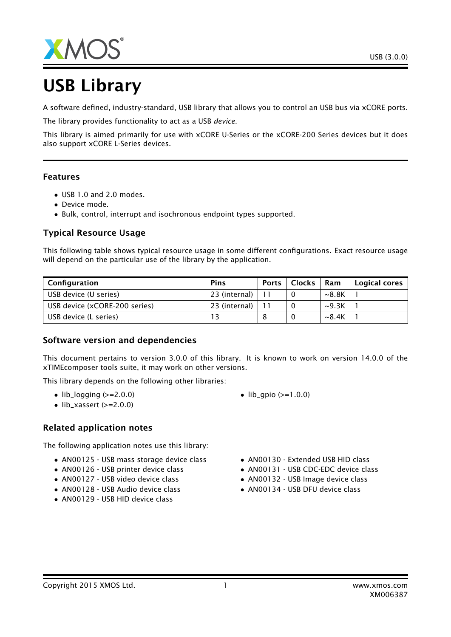

# USB Library

A software defined, industry-standard, USB library that allows you to control an USB bus via xCORE ports.

The library provides functionality to act as a USB *device*.

This library is aimed primarily for use with xCORE U-Series or the xCORE-200 Series devices but it does also support xCORE L-Series devices.

#### Features

- USB 1.0 and 2.0 modes.
- Device mode.
- Bulk, control, interrupt and isochronous endpoint types supported.

#### Typical Resource Usage

This following table shows typical resource usage in some different configurations. Exact resource usage will depend on the particular use of the library by the application.

| Configuration                 | <b>Pins</b>     | <b>Ports</b> | <b>Clocks</b> | Ram         | Logical cores |
|-------------------------------|-----------------|--------------|---------------|-------------|---------------|
| USB device (U series)         | $23$ (internal) |              |               | ~8.8K       |               |
| USB device (xCORE-200 series) | 23 (internal)   |              |               | $\sim$ 9.3K |               |
| USB device (L series)         |                 |              |               | $\sim$ 8.4K |               |

#### Software version and dependencies

This document pertains to version 3.0.0 of this library. It is known to work on version 14.0.0 of the xTIMEcomposer tools suite, it may work on other versions.

This library depends on the following other libraries:

- $\bullet$  lib\_logging ( $>=$ 2.0.0)
- $\bullet$  lib\_xassert (>=2.0.0)

#### Related application notes

The following application notes use this library:

- AN00125 USB mass storage device class
- AN00126 USB printer device class
- AN00127 USB video device class
- AN00128 USB Audio device class
- AN00129 USB HID device class
- $lib_qpio (> = 1.0.0)$
- AN00130 Extended USB HID class
- AN00131 USB CDC-EDC device class
- AN00132 USB Image device class
- AN00134 USB DFU device class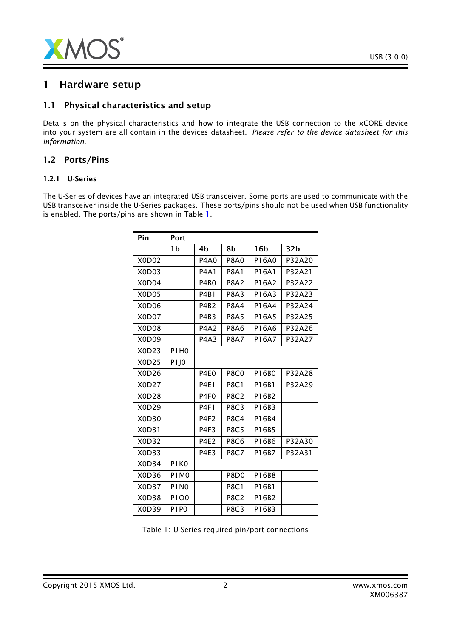

## 1 Hardware setup

#### 1.1 Physical characteristics and setup

Details on the physical characteristics and how to integrate the USB connection to the xCORE device into your system are all contain in the devices datasheet. *Please refer to the device datasheet for this information*.

#### 1.2 Ports/Pins

#### 1.2.1 U-Series

The U-Series of devices have an integrated USB transceiver. Some ports are used to communicate with the USB transceiver inside the U-Series packages. These ports/pins should not be used when USB functionality is enabled. The ports/pins are shown in Table [1.](#page-1-0)

| Pin   | Port             |                  |                  |                 |        |
|-------|------------------|------------------|------------------|-----------------|--------|
|       | 1b               | 4b               | 8b               | 16 <sub>b</sub> | 32b    |
| X0D02 |                  | <b>P4A0</b>      | <b>P8A0</b>      | P16A0           | P32A20 |
| X0D03 |                  | <b>P4A1</b>      | <b>P8A1</b>      | P16A1           | P32A21 |
| X0D04 |                  | <b>P4B0</b>      | <b>P8A2</b>      | P16A2           | P32A22 |
| X0D05 |                  | <b>P4B1</b>      | <b>P8A3</b>      | P16A3           | P32A23 |
| X0D06 |                  | <b>P4B2</b>      | <b>P8A4</b>      | P16A4           | P32A24 |
| X0D07 |                  | P4B3             | <b>P8A5</b>      | P16A5           | P32A25 |
| X0D08 |                  | <b>P4A2</b>      | <b>P8A6</b>      | P16A6           | P32A26 |
| X0D09 |                  | P4A3             | <b>P8A7</b>      | P16A7           | P32A27 |
| X0D23 | P1H0             |                  |                  |                 |        |
| X0D25 | P <sub>1JO</sub> |                  |                  |                 |        |
| X0D26 |                  | P4E <sub>0</sub> | <b>P8C0</b>      | P16B0           | P32A28 |
| X0D27 |                  | <b>P4E1</b>      | <b>P8C1</b>      | P16B1           | P32A29 |
| X0D28 |                  | P4F <sub>0</sub> | <b>P8C2</b>      | P16B2           |        |
| X0D29 |                  | <b>P4F1</b>      | <b>P8C3</b>      | P16B3           |        |
| X0D30 |                  | P4F2             | <b>P8C4</b>      | P16B4           |        |
| X0D31 |                  | P4F3             | <b>P8C5</b>      | P16B5           |        |
| X0D32 |                  | <b>P4E2</b>      | <b>P8C6</b>      | P16B6           | P32A30 |
| X0D33 |                  | <b>P4E3</b>      | <b>P8C7</b>      | P16B7           | P32A31 |
| X0D34 | P1K0             |                  |                  |                 |        |
| X0D36 | <b>P1M0</b>      |                  | P8D <sub>0</sub> | P16B8           |        |
| X0D37 | <b>P1N0</b>      |                  | <b>P8C1</b>      | P16B1           |        |
| X0D38 | P1O0             |                  | <b>P8C2</b>      | P16B2           |        |
| X0D39 | <b>P1P0</b>      |                  | <b>P8C3</b>      | P16B3           |        |

<span id="page-1-0"></span>Table 1: U-Series required pin/port connections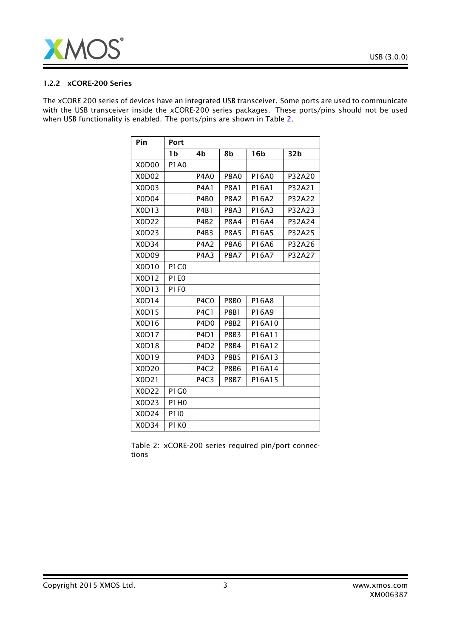

#### 1.2.2 xCORE-200 Series

The xCORE 200 series of devices have an integrated USB transceiver. Some ports are used to communicate with the USB transceiver inside the xCORE-200 series packages. These ports/pins should not be used when USB functionality is enabled. The ports/pins are shown in Table [2.](#page-2-0)

| Pin                            | Port        |                               |                  |                 |                 |
|--------------------------------|-------------|-------------------------------|------------------|-----------------|-----------------|
|                                | 1b          | 4b                            | 8b               | 16 <sub>b</sub> | 32 <sub>b</sub> |
| X0D00                          | <b>P1A0</b> |                               |                  |                 |                 |
| X0D02                          |             | <b>P4A0</b>                   | <b>P8A0</b>      | P16A0           | P32A20          |
| X <sub>0</sub> D <sub>03</sub> |             | <b>P4A1</b>                   | <b>P8A1</b>      | P16A1           | P32A21          |
| X <sub>0</sub> D <sub>04</sub> |             | P4B <sub>0</sub>              | <b>P8A2</b>      | P16A2           | P32A22          |
| X0D13                          |             | <b>P4B1</b>                   | <b>P8A3</b>      | P16A3           | P32A23          |
| X0D22                          |             | <b>P4B2</b>                   | <b>P8A4</b>      | P16A4           | P32A24          |
| X0D23                          |             | P4B3                          | <b>P8A5</b>      | P16A5           | P32A25          |
| X0D34                          |             | <b>P4A2</b>                   | <b>P8A6</b>      | P16A6           | P32A26          |
| X <sub>0</sub> D <sub>09</sub> |             | <b>P4A3</b>                   | <b>P8A7</b>      | P16A7           | P32A27          |
| X0D10                          | P1C0        |                               |                  |                 |                 |
| X0D12                          | <b>P1E0</b> |                               |                  |                 |                 |
| X0D13                          | <b>P1F0</b> |                               |                  |                 |                 |
| X0D14                          |             | P <sub>4</sub> C <sub>0</sub> | <b>P8B0</b>      | P16A8           |                 |
| X0D15                          |             | <b>P4C1</b>                   | <b>P8B1</b>      | P16A9           |                 |
| X0D16                          |             | P <sub>4</sub> D <sub>0</sub> | P8B <sub>2</sub> | P16A10          |                 |
| X0D17                          |             | P <sub>4</sub> D <sub>1</sub> | <b>P8B3</b>      | P16A11          |                 |
| X0D18                          |             | P <sub>4</sub> D <sub>2</sub> | <b>P8B4</b>      | P16A12          |                 |
| X0D19                          |             | P <sub>4</sub> D <sub>3</sub> | <b>P8B5</b>      | P16A13          |                 |
| X0D20                          |             | P <sub>4</sub> C <sub>2</sub> | <b>P8B6</b>      | P16A14          |                 |
| X0D21                          |             | P <sub>4</sub> C <sub>3</sub> | <b>P8B7</b>      | P16A15          |                 |
| X0D22                          | P1G0        |                               |                  |                 |                 |
| X0D23                          | P1H0        |                               |                  |                 |                 |
| X0D24                          | P110        |                               |                  |                 |                 |
| X0D34                          | P1K0        |                               |                  |                 |                 |

<span id="page-2-0"></span>Table 2: xCORE-200 series required pin/port connections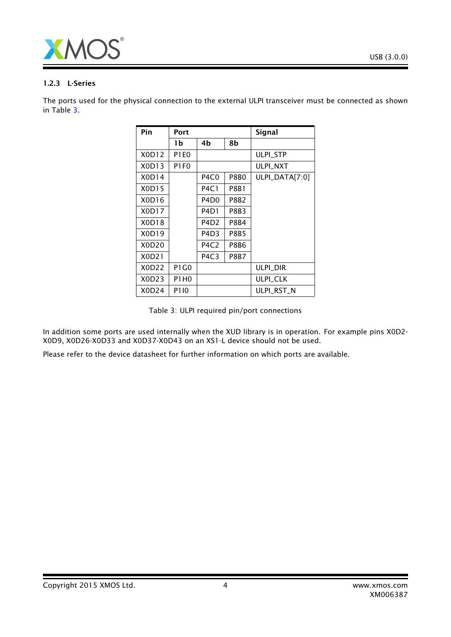

#### 1.2.3 L-Series

The ports used for the physical connection to the external ULPI transceiver must be connected as shown in Table [3.](#page-3-0)

| Pin   | Port        |                               |             | <b>Signal</b>    |
|-------|-------------|-------------------------------|-------------|------------------|
|       | 1b          | 4b                            | 8b          |                  |
| X0D12 | <b>P1E0</b> |                               |             | <b>ULPI STP</b>  |
| X0D13 | P1F0        |                               |             | <b>ULPI NXT</b>  |
| X0D14 |             | P4C0                          | P8B0        | $ULPI_DATA[7:0]$ |
| X0D15 |             | <b>P4C1</b>                   | P8B1        |                  |
| X0D16 |             | P4D <sub>0</sub>              | P8B2        |                  |
| X0D17 |             | P4D1                          | P8B3        |                  |
| X0D18 |             | P4D <sub>2</sub>              | P8B4        |                  |
| X0D19 |             | P4D3                          | P8B5        |                  |
| X0D20 |             | P4C2                          | P8B6        |                  |
| X0D21 |             | P <sub>4</sub> C <sub>3</sub> | <b>P8B7</b> |                  |
| X0D22 | P1 G0       |                               |             | ulpi dir         |
| X0D23 | P1H0        |                               |             | <b>ULPI_CLK</b>  |
| X0D24 | P110        |                               |             | ULPI RST N       |

<span id="page-3-0"></span>Table 3: ULPI required pin/port connections

In addition some ports are used internally when the XUD library is in operation. For example pins X0D2- X0D9, X0D26-X0D33 and X0D37-X0D43 on an XS1-L device should not be used.

Please refer to the device datasheet for further information on which ports are available.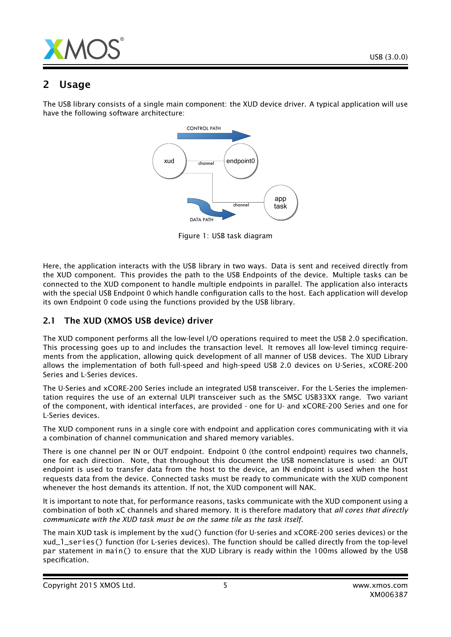

# 2 Usage

The USB library consists of a single main component: the XUD device driver. A typical application will use have the following software architecture:



Figure 1: USB task diagram

Here, the application interacts with the USB library in two ways. Data is sent and received directly from the XUD component. This provides the path to the USB Endpoints of the device. Multiple tasks can be connected to the XUD component to handle multiple endpoints in parallel. The application also interacts with the special USB Endpoint 0 which handle configuration calls to the host. Each application will develop its own Endpoint 0 code using the functions provided by the USB library.

## 2.1 The XUD (XMOS USB device) driver

The XUD component performs all the low-level I/O operations required to meet the USB 2.0 specification. This processing goes up to and includes the transaction level. It removes all low-level timincg requirements from the application, allowing quick development of all manner of USB devices. The XUD Library allows the implementation of both full-speed and high-speed USB 2.0 devices on U-Series, xCORE-200 Series and L-Series devices.

The U-Series and xCORE-200 Series include an integrated USB transceiver. For the L-Series the implementation requires the use of an external ULPI transceiver such as the SMSC USB33XX range. Two variant of the component, with identical interfaces, are provided - one for U- and xCORE-200 Series and one for L-Series devices.

The XUD component runs in a single core with endpoint and application cores communicating with it via a combination of channel communication and shared memory variables.

There is one channel per IN or OUT endpoint. Endpoint 0 (the control endpoint) requires two channels, one for each direction. Note, that throughout this document the USB nomenclature is used: an OUT endpoint is used to transfer data from the host to the device, an IN endpoint is used when the host requests data from the device. Connected tasks must be ready to communicate with the XUD component whenever the host demands its attention. If not, the XUD component will NAK.

It is important to note that, for performance reasons, tasks communicate with the XUD component using a combination of both xC channels and shared memory. It is therefore madatory that *all cores that directly communicate with the XUD task must be on the same tile as the task itself*.

The main XUD task is implement by the xud() function (for U-series and xCORE-200 series devices) or the xud\_l\_series() function (for L-series devices). The function should be called directly from the top-level par statement in main() to ensure that the XUD Library is ready within the 100ms allowed by the USB specification.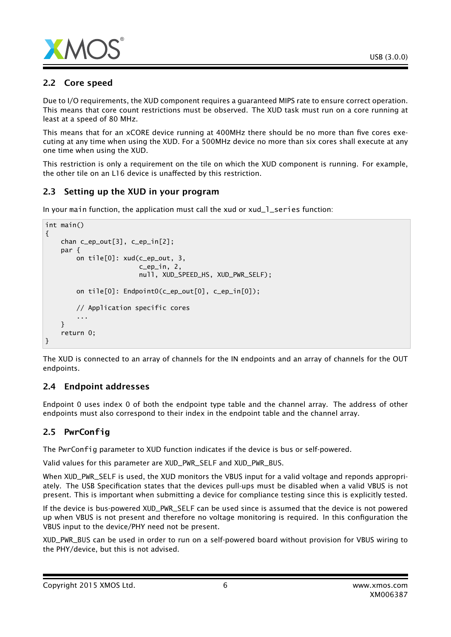

## 2.2 Core speed

Due to I/O requirements, the XUD component requires a guaranteed MIPS rate to ensure correct operation. This means that core count restrictions must be observed. The XUD task must run on a core running at least at a speed of 80 MHz.

This means that for an xCORE device running at 400MHz there should be no more than five cores executing at any time when using the XUD. For a 500MHz device no more than six cores shall execute at any one time when using the XUD.

This restriction is only a requirement on the tile on which the XUD component is running. For example, the other tile on an L16 device is unaffected by this restriction.

## 2.3 Setting up the XUD in your program

In your main function, the application must call the xud or xud\_1\_series function:

```
int main()
{
    chan c_ep_out[3], c_ep_in[2];
    par {
        on tile[0]: xud(c_ep_out, 3,
                         c_ep_in, 2,
                        null, XUD_SPEED_HS, XUD_PWR_SELF);
        on tile[0]: Endpoint0(c_ep_out[0], c_ep_in[0]);
        // Application specific cores
        ...
    }
    return 0;
}
```
The XUD is connected to an array of channels for the IN endpoints and an array of channels for the OUT endpoints.

## 2.4 Endpoint addresses

Endpoint 0 uses index 0 of both the endpoint type table and the channel array. The address of other endpoints must also correspond to their index in the endpoint table and the channel array.

# 2.5 **PwrConfig**

The PwrConfig parameter to XUD function indicates if the device is bus or self-powered.

Valid values for this parameter are XUD\_PWR\_SELF and XUD\_PWR\_BUS.

When XUD\_PWR\_SELF is used, the XUD monitors the VBUS input for a valid voltage and reponds appropriately. The USB Specification states that the devices pull-ups must be disabled when a valid VBUS is not present. This is important when submitting a device for compliance testing since this is explicitly tested.

If the device is bus-powered XUD\_PWR\_SELF can be used since is assumed that the device is not powered up when VBUS is not present and therefore no voltage monitoring is required. In this configuration the VBUS input to the device/PHY need not be present.

XUD\_PWR\_BUS can be used in order to run on a self-powered board without provision for VBUS wiring to the PHY/device, but this is not advised.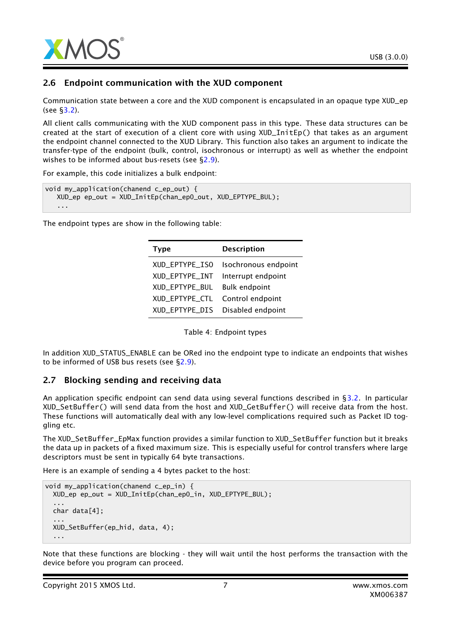

#### 2.6 Endpoint communication with the XUD component

Communication state between a core and the XUD component is encapsulated in an opaque type XUD\_ep (see [§3.2\)](#page-13-0).

All client calls communicating with the XUD component pass in this type. These data structures can be created at the start of execution of a client core with using XUD\_InitEp() that takes as an argument the endpoint channel connected to the XUD Library. This function also takes an argument to indicate the transfer-type of the endpoint (bulk, control, isochronous or interrupt) as well as whether the endpoint wishes to be informed about bus-resets (see [§2.9\)](#page-7-0).

For example, this code initializes a bulk endpoint:

```
void my_application(chanend c_ep_out) {
  XUD_ep ep_out = XUD_InitEp(chan_ep0_out, XUD_EPTYPE_BUL);
   ...
```
The endpoint types are show in the following table:

| <b>Type</b>    | <b>Description</b>   |
|----------------|----------------------|
| XUD EPTYPE ISO | Isochronous endpoint |
| XUD_EPTYPE_INT | Interrupt endpoint   |
| XUD EPTYPE BUL | <b>Bulk endpoint</b> |
| XUD_EPTYPE_CTL | Control endpoint     |
| XUD_EPTYPE_DIS | Disabled endpoint    |

Table 4: Endpoint types

In addition XUD\_STATUS\_ENABLE can be ORed ino the endpoint type to indicate an endpoints that wishes to be informed of USB bus resets (see [§2.9\)](#page-7-0).

#### 2.7 Blocking sending and receiving data

An application specific endpoint can send data using several functions described in [§3.2.](#page-13-0) In particular XUD\_SetBuffer() will send data from the host and XUD\_GetBuffer() will receive data from the host. These functions will automatically deal with any low-level complications required such as Packet ID toggling etc.

The XUD\_SetBuffer\_EpMax function provides a similar function to XUD\_SetBuffer function but it breaks the data up in packets of a fixed maximum size. This is especially useful for control transfers where large descriptors must be sent in typically 64 byte transactions.

Here is an example of sending a 4 bytes packet to the host:

```
void my_application(chanend c_ep_in) {
 XUD_ep ep_out = XUD_InitEp(chan_ep0_in, XUD_EPTYPE_BUL);
  ...
 char data[4];
  ...
 XUD_SetBuffer(ep_hid, data, 4);
  ...
```
Note that these functions are blocking - they will wait until the host performs the transaction with the device before you program can proceed.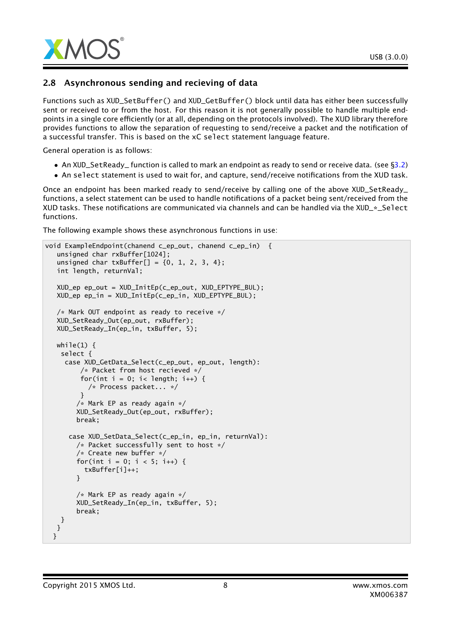

#### 2.8 Asynchronous sending and recieving of data

Functions such as XUD\_SetBuffer() and XUD\_GetBuffer() block until data has either been successfully sent or received to or from the host. For this reason it is not generally possible to handle multiple endpoints in a single core efficiently (or at all, depending on the protocols involved). The XUD library therefore provides functions to allow the separation of requesting to send/receive a packet and the notification of a successful transfer. This is based on the xC select statement language feature.

General operation is as follows:

- An XUD\_SetReady\_ function is called to mark an endpoint as ready to send or receive data. (see [§3.2\)](#page-13-0)
- An select statement is used to wait for, and capture, send/receive notifications from the XUD task.

Once an endpoint has been marked ready to send/receive by calling one of the above XUD\_SetReady\_ functions, a select statement can be used to handle notifications of a packet being sent/received from the XUD tasks. These notifications are communicated via channels and can be handled via the XUD\_\*\_Select functions.

The following example shows these asynchronous functions in use:

```
void ExampleEndpoint(chanend c_ep_out, chanend c_ep_in) {
   unsigned char rxBuffer[1024];
   unsigned char txBuffer[] = {0, 1, 2, 3, 4};
   int length, returnVal;
  XUD_ep ep_out = XUD_InitEp(c_ep_out, XUD_EPTYPE_BUL);
  XUD_ep ep_in = XUD_InitEp(c_ep_in, XUD_EPTYPE_BUL);
  /* Mark OUT endpoint as ready to receive */
  XUD_SetReady_Out(ep_out, rxBuffer);
  XUD_SetReady_In(ep_in, txBuffer, 5);
  while(1) \{select {
     case XUD_GetData_Select(c_ep_out, ep_out, length):
         /* Packet from host recieved */
         for(int i = 0; i< length; i++) {
           /* Process packet... */
         }
        /* Mark EP as ready again */
        XUD_SetReady_Out(ep_out, rxBuffer);
        break;
      case XUD_SetData_Select(c_ep_in, ep_in, returnVal):
        /* Packet successfully sent to host */
        /* Create new buffer */
        for(int i = 0; i < 5; i++) {
          txBuffer[i]++;
        }
        /* Mark EP as ready again */
        XUD_SetReady_In(ep_in, txBuffer, 5);
        break;
   }
  }
 }
```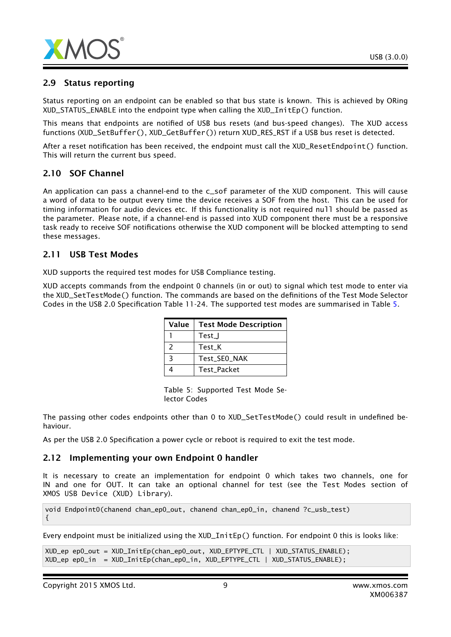

#### 2.9 Status reporting

Status reporting on an endpoint can be enabled so that bus state is known. This is achieved by ORing XUD\_STATUS\_ENABLE into the endpoint type when calling the XUD\_InitEp() function.

This means that endpoints are notified of USB bus resets (and bus-speed changes). The XUD access functions (XUD\_SetBuffer(), XUD\_GetBuffer()) return XUD\_RES\_RST if a USB bus reset is detected.

After a reset notification has been received, the endpoint must call the XUD\_ResetEndpoint() function. This will return the current bus speed.

#### 2.10 SOF Channel

An application can pass a channel-end to the c\_sof parameter of the XUD component. This will cause a word of data to be output every time the device receives a SOF from the host. This can be used for timing information for audio devices etc. If this functionality is not required null should be passed as the parameter. Please note, if a channel-end is passed into XUD component there must be a responsive task ready to receive SOF notifications otherwise the XUD component will be blocked attempting to send these messages.

#### 2.11 USB Test Modes

XUD supports the required test modes for USB Compliance testing.

XUD accepts commands from the endpoint 0 channels (in or out) to signal which test mode to enter via the XUD\_SetTestMode() function. The commands are based on the definitions of the Test Mode Selector Codes in the USB 2.0 Specification Table 11-24. The supported test modes are summarised in Table [5.](#page-8-0)

| Value | <b>Test Mode Description</b> |
|-------|------------------------------|
|       | Test_J                       |
| 2     | Test K                       |
| っ     | Test_SE0_NAK                 |
|       | <b>Test Packet</b>           |

<span id="page-8-0"></span>Table 5: Supported Test Mode Selector Codes

The passing other codes endpoints other than 0 to XUD\_SetTestMode() could result in undefined behaviour.

As per the USB 2.0 Specification a power cycle or reboot is required to exit the test mode.

#### 2.12 Implementing your own Endpoint 0 handler

It is necessary to create an implementation for endpoint 0 which takes two channels, one for IN and one for OUT. It can take an optional channel for test (see the Test Modes section of XMOS USB Device (XUD) Library).

void Endpoint0(chanend chan\_ep0\_out, chanend chan\_ep0\_in, chanend ?c\_usb\_test) {

Every endpoint must be initialized using the XUD\_InitEp() function. For endpoint 0 this is looks like:

```
XUD_ep ep0_out = XUD_InitEp(chan_ep0_out, XUD_EPTYPE_CTL | XUD_STATUS_ENABLE);
XUD_ep ep0_in = XUD_InitEp(chan_ep0_in, XUD_EPTYPE_CTL | XUD_STATUS_ENABLE);
```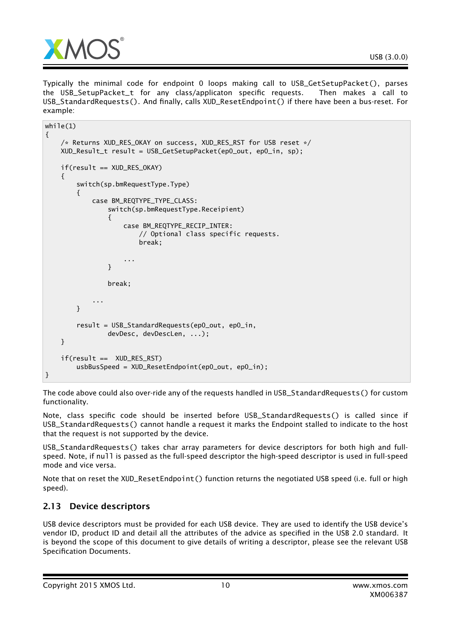

Typically the minimal code for endpoint 0 loops making call to USB\_GetSetupPacket(), parses the USB\_SetupPacket\_t for any class/applicaton specific requests. Then makes a call to USB\_StandardRequests(). And finally, calls XUD\_ResetEndpoint() if there have been a bus-reset. For example:

```
while(1){
    /* Returns XUD_RES_OKAY on success, XUD_RES_RST for USB reset */
    XUD_Result_t result = USB_GetSetupPacket(ep0_out, ep0_in, sp);
    if(result == XUD_RES_OKAY)
    {
        switch(sp.bmRequestType.Type)
        {
            case BM_REQTYPE_TYPE_CLASS:
                switch(sp.bmRequestType.Receipient)
                {
                    case BM_REQTYPE_RECIP_INTER:
                        // Optional class specific requests.
                        break;
                    ...
                }
                break;
            ...
        }
        result = USB_StandardRequests(ep0_out, ep0_in,
                devDesc, devDescLen, ...);
    }
    if(result == XUD_RES_RST)
        usbBusSpeed = XUD_ResetEndpoint(ep0_out, ep0_in);
}
```
The code above could also over-ride any of the requests handled in USB\_StandardRequests() for custom functionality.

Note, class specific code should be inserted before USB\_StandardRequests() is called since if USB\_StandardRequests() cannot handle a request it marks the Endpoint stalled to indicate to the host that the request is not supported by the device.

USB\_StandardRequests() takes char array parameters for device descriptors for both high and fullspeed. Note, if null is passed as the full-speed descriptor the high-speed descriptor is used in full-speed mode and vice versa.

Note that on reset the XUD\_ResetEndpoint() function returns the negotiated USB speed (i.e. full or high speed).

## 2.13 Device descriptors

USB device descriptors must be provided for each USB device. They are used to identify the USB device's vendor ID, product ID and detail all the attributes of the advice as specified in the USB 2.0 standard. It is beyond the scope of this document to give details of writing a descriptor, please see the relevant USB Specification Documents.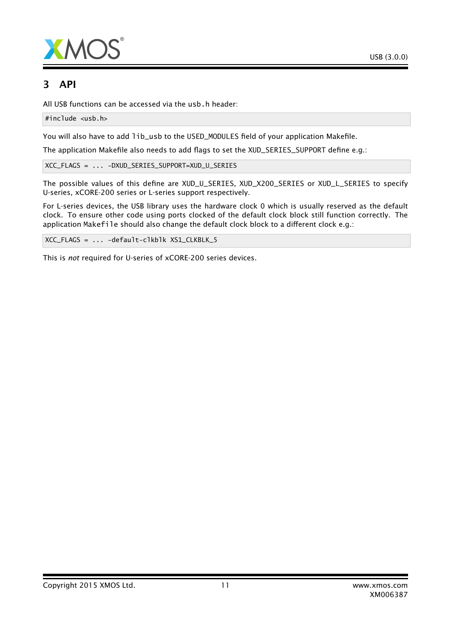

# 3 API

All USB functions can be accessed via the usb.h header:

#include <usb.h>

You will also have to add lib\_usb to the USED\_MODULES field of your application Makefile.

The application Makefile also needs to add flags to set the XUD\_SERIES\_SUPPORT define e.g.:

XCC\_FLAGS = ... -DXUD\_SERIES\_SUPPORT=XUD\_U\_SERIES

The possible values of this define are XUD\_U\_SERIES, XUD\_X200\_SERIES or XUD\_L\_SERIES to specify U-series, xCORE-200 series or L-series support respectively.

For L-series devices, the USB library uses the hardware clock 0 which is usually reserved as the default clock. To ensure other code using ports clocked of the default clock block still function correctly. The application Makefile should also change the default clock block to a different clock e.g.:

XCC\_FLAGS = ... -default-clkblk XS1\_CLKBLK\_5

This is *not* required for U-series of xCORE-200 series devices.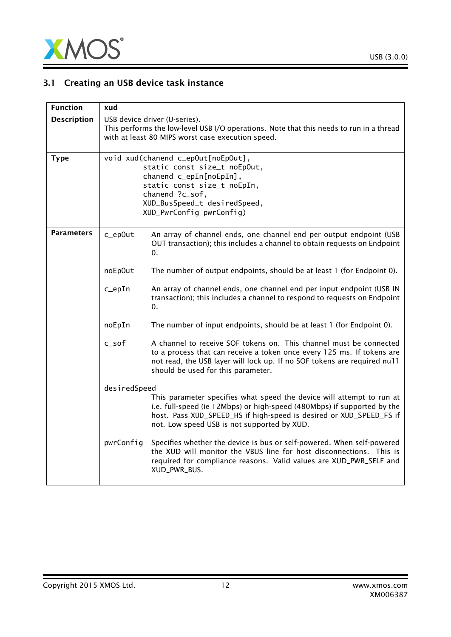

# 3.1 Creating an USB device task instance

| <b>Function</b>    | xud                                                                                                                                                                                                         |                                                                                                                                                                                                                                                                        |  |
|--------------------|-------------------------------------------------------------------------------------------------------------------------------------------------------------------------------------------------------------|------------------------------------------------------------------------------------------------------------------------------------------------------------------------------------------------------------------------------------------------------------------------|--|
| <b>Description</b> |                                                                                                                                                                                                             | USB device driver (U-series).<br>This performs the low-level USB I/O operations. Note that this needs to run in a thread<br>with at least 80 MIPS worst case execution speed.                                                                                          |  |
| <b>Type</b>        | void xud(chanend c_epOut[noEpOut],<br>static const size_t noEpOut,<br>chanend c_epIn[noEpIn],<br>static const size_t noEpIn,<br>chanend ?c_sof,<br>XUD_BusSpeed_t desiredSpeed,<br>XUD_PwrConfig pwrConfig) |                                                                                                                                                                                                                                                                        |  |
| Parameters         | c_ep0ut                                                                                                                                                                                                     | An array of channel ends, one channel end per output endpoint (USB<br>OUT transaction); this includes a channel to obtain requests on Endpoint<br>0.                                                                                                                   |  |
|                    | noEp0ut                                                                                                                                                                                                     | The number of output endpoints, should be at least 1 (for Endpoint 0).                                                                                                                                                                                                 |  |
|                    | $c$ _epIn                                                                                                                                                                                                   | An array of channel ends, one channel end per input endpoint (USB IN<br>transaction); this includes a channel to respond to requests on Endpoint<br>0.                                                                                                                 |  |
|                    | noEpIn                                                                                                                                                                                                      | The number of input endpoints, should be at least 1 (for Endpoint 0).                                                                                                                                                                                                  |  |
|                    | c_sof                                                                                                                                                                                                       | A channel to receive SOF tokens on. This channel must be connected<br>to a process that can receive a token once every 125 ms. If tokens are<br>not read, the USB layer will lock up. If no SOF tokens are required null<br>should be used for this parameter.         |  |
|                    | desiredSpeed                                                                                                                                                                                                |                                                                                                                                                                                                                                                                        |  |
|                    |                                                                                                                                                                                                             | This parameter specifies what speed the device will attempt to run at<br>i.e. full-speed (ie 12Mbps) or high-speed (480Mbps) if supported by the<br>host. Pass XUD_SPEED_HS if high-speed is desired or XUD_SPEED_FS if<br>not. Low speed USB is not supported by XUD. |  |
|                    | pwrConfig                                                                                                                                                                                                   | Specifies whether the device is bus or self-powered. When self-powered<br>the XUD will monitor the VBUS line for host disconnections. This is<br>required for compliance reasons. Valid values are XUD_PWR_SELF and<br>XUD_PWR_BUS.                                    |  |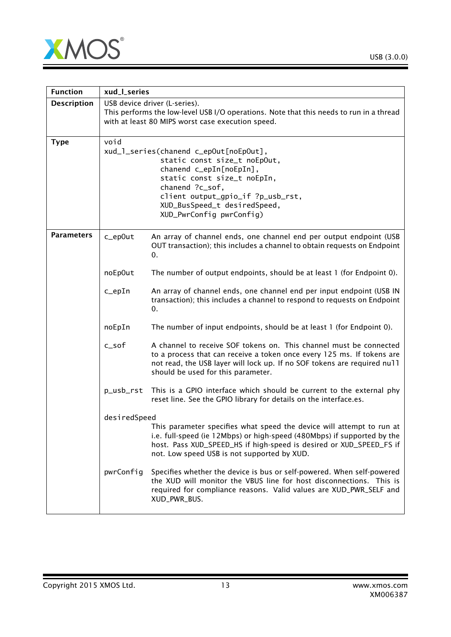

 $\overline{\phantom{0}}$ 



| <b>Function</b>    | xud_l_series                                                                                                                                                                                                                                                 |                                                                                                                                                                                                                                                                        |  |
|--------------------|--------------------------------------------------------------------------------------------------------------------------------------------------------------------------------------------------------------------------------------------------------------|------------------------------------------------------------------------------------------------------------------------------------------------------------------------------------------------------------------------------------------------------------------------|--|
| <b>Description</b> | USB device driver (L-series).<br>This performs the low-level USB I/O operations. Note that this needs to run in a thread<br>with at least 80 MIPS worst case execution speed.                                                                                |                                                                                                                                                                                                                                                                        |  |
| <b>Type</b>        | void<br>xud_1_series(chanend c_epOut[noEpOut],<br>static const size_t noEpOut,<br>chanend c_epIn[noEpIn],<br>static const size_t noEpIn,<br>chanend ?c_sof,<br>client output_gpio_if ?p_usb_rst,<br>XUD_BusSpeed_t desiredSpeed,<br>XUD_PwrConfig pwrConfig) |                                                                                                                                                                                                                                                                        |  |
| <b>Parameters</b>  | c_ep0ut                                                                                                                                                                                                                                                      | An array of channel ends, one channel end per output endpoint (USB<br>OUT transaction); this includes a channel to obtain requests on Endpoint<br>0.                                                                                                                   |  |
|                    | noEp0ut                                                                                                                                                                                                                                                      | The number of output endpoints, should be at least 1 (for Endpoint 0).                                                                                                                                                                                                 |  |
|                    | $c$ _epIn                                                                                                                                                                                                                                                    | An array of channel ends, one channel end per input endpoint (USB IN<br>transaction); this includes a channel to respond to requests on Endpoint<br>0.                                                                                                                 |  |
|                    | noEpIn                                                                                                                                                                                                                                                       | The number of input endpoints, should be at least 1 (for Endpoint 0).                                                                                                                                                                                                  |  |
|                    | $c$ _sof                                                                                                                                                                                                                                                     | A channel to receive SOF tokens on. This channel must be connected<br>to a process that can receive a token once every 125 ms. If tokens are<br>not read, the USB layer will lock up. If no SOF tokens are required null<br>should be used for this parameter.         |  |
|                    | p_usb_rst                                                                                                                                                                                                                                                    | This is a GPIO interface which should be current to the external phy<br>reset line. See the GPIO library for details on the interface.es.                                                                                                                              |  |
|                    | desiredSpeed                                                                                                                                                                                                                                                 | This parameter specifies what speed the device will attempt to run at<br>i.e. full-speed (ie 12Mbps) or high-speed (480Mbps) if supported by the<br>host. Pass XUD_SPEED_HS if high-speed is desired or XUD_SPEED_FS if<br>not. Low speed USB is not supported by XUD. |  |
|                    | pwrConfig                                                                                                                                                                                                                                                    | Specifies whether the device is bus or self-powered. When self-powered<br>the XUD will monitor the VBUS line for host disconnections. This is<br>required for compliance reasons. Valid values are XUD_PWR_SELF and<br>XUD_PWR_BUS.                                    |  |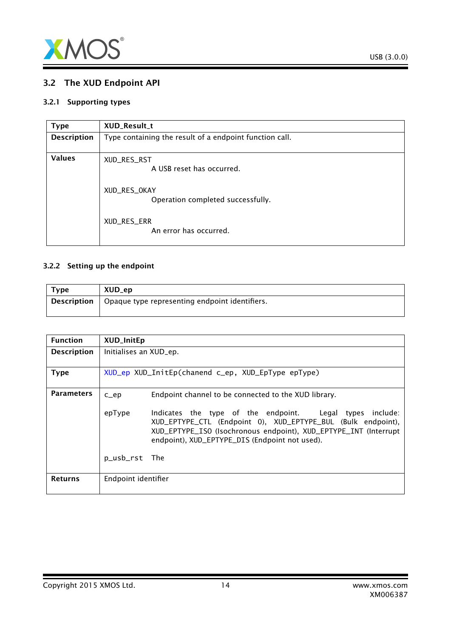

## <span id="page-13-0"></span>3.2 The XUD Endpoint API

#### 3.2.1 Supporting types

<span id="page-13-2"></span>

| <b>Type</b>        | XUD_Result_t                                            |
|--------------------|---------------------------------------------------------|
| <b>Description</b> | Type containing the result of a endpoint function call. |
| <b>Values</b>      | XUD_RES_RST<br>A USB reset has occurred.                |
|                    | XUD_RES_OKAY<br>Operation completed successfully.       |
|                    | XUD_RES_ERR<br>An error has occurred.                   |

#### 3.2.2 Setting up the endpoint

<span id="page-13-1"></span>

| Type        | XUD_ep                                         |
|-------------|------------------------------------------------|
| Description | Opaque type representing endpoint identifiers. |

| <b>Function</b>    | <b>XUD_InitEp</b>                                  |                                                                                                                                                                                                                                                   |  |
|--------------------|----------------------------------------------------|---------------------------------------------------------------------------------------------------------------------------------------------------------------------------------------------------------------------------------------------------|--|
| <b>Description</b> | Initialises an XUD_ep.                             |                                                                                                                                                                                                                                                   |  |
| <b>Type</b>        | XUD_ep XUD_InitEp(chanend c_ep, XUD_EpType epType) |                                                                                                                                                                                                                                                   |  |
| <b>Parameters</b>  | $C$ $ep$                                           | Endpoint channel to be connected to the XUD library.                                                                                                                                                                                              |  |
|                    | epType                                             | Indicates the type of the endpoint. Legal types<br>include:<br>XUD_EPTYPE_CTL (Endpoint 0), XUD_EPTYPE_BUL (Bulk endpoint),<br>XUD_EPTYPE_ISO (Isochronous endpoint), XUD_EPTYPE_INT (Interrupt<br>endpoint), XUD_EPTYPE_DIS (Endpoint not used). |  |
|                    | p_usb_rst The                                      |                                                                                                                                                                                                                                                   |  |
| <b>Returns</b>     | Endpoint identifier                                |                                                                                                                                                                                                                                                   |  |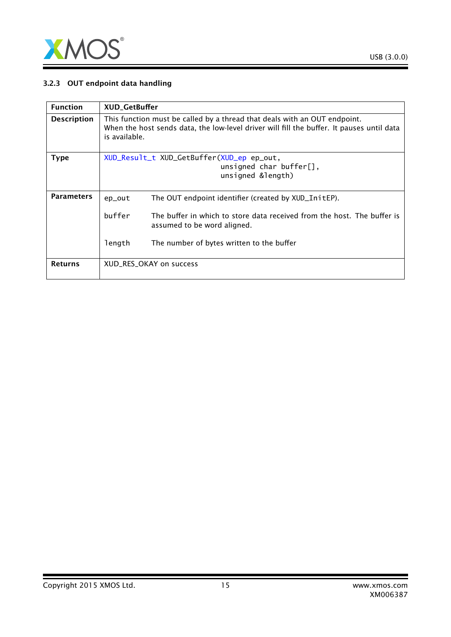

#### 3.2.3 OUT endpoint data handling

| <b>Function</b>    | <b>XUD_GetBuffer</b>                                                                                                                                                                    |                                                                                                        |  |
|--------------------|-----------------------------------------------------------------------------------------------------------------------------------------------------------------------------------------|--------------------------------------------------------------------------------------------------------|--|
| <b>Description</b> | This function must be called by a thread that deals with an OUT endpoint.<br>When the host sends data, the low-level driver will fill the buffer. It pauses until data<br>is available. |                                                                                                        |  |
| <b>Type</b>        |                                                                                                                                                                                         | XUD_Result_t XUD_GetBuffer(XUD_ep ep_out,<br>unsigned char buffer $[]$ ,<br>unsigned &length)          |  |
| <b>Parameters</b>  | ep_out                                                                                                                                                                                  | The OUT endpoint identifier (created by XUD_InitEP).                                                   |  |
|                    | buffer                                                                                                                                                                                  | The buffer in which to store data received from the host. The buffer is<br>assumed to be word aligned. |  |
|                    | length                                                                                                                                                                                  | The number of bytes written to the buffer                                                              |  |
| <b>Returns</b>     |                                                                                                                                                                                         | XUD_RES_OKAY on success                                                                                |  |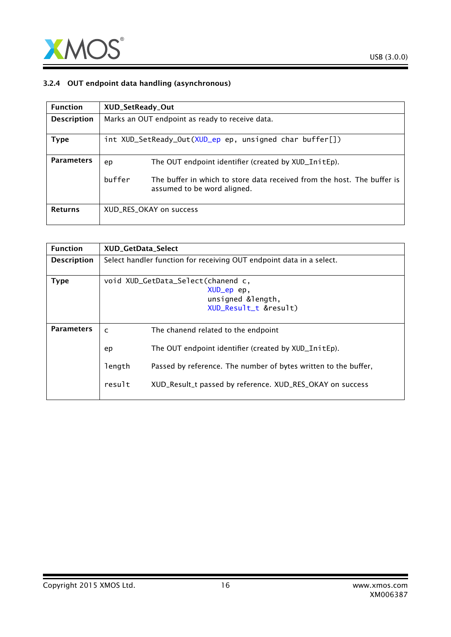

#### 3.2.4 OUT endpoint data handling (asynchronous)

| <b>Function</b>    | XUD_SetReady_Out                                |                                                                                                        |
|--------------------|-------------------------------------------------|--------------------------------------------------------------------------------------------------------|
| <b>Description</b> | Marks an OUT endpoint as ready to receive data. |                                                                                                        |
| Type               |                                                 | int XUD_SetReady_Out(XUD_ep ep, unsigned char buffer[])                                                |
| <b>Parameters</b>  | ep                                              | The OUT endpoint identifier (created by XUD_InitEp).                                                   |
|                    | buffer                                          | The buffer in which to store data received from the host. The buffer is<br>assumed to be word aligned. |
| <b>Returns</b>     |                                                 | XUD RES OKAY on success                                                                                |

| <b>Function</b>    | <b>XUD GetData Select</b>          |                                                                      |
|--------------------|------------------------------------|----------------------------------------------------------------------|
| <b>Description</b> |                                    | Select handler function for receiving OUT endpoint data in a select. |
| <b>Type</b>        | void XUD_GetData_Select(chanend c, |                                                                      |
|                    |                                    | XUD_ep ep,                                                           |
|                    |                                    | unsigned &length,                                                    |
|                    |                                    | XUD_Result_t &result)                                                |
|                    |                                    |                                                                      |
| <b>Parameters</b>  | $\mathsf{C}$                       | The chanend related to the endpoint                                  |
|                    | ep                                 | The OUT endpoint identifier (created by XUD_InitEp).                 |
|                    | length                             | Passed by reference. The number of bytes written to the buffer,      |
|                    | result                             | XUD_Result_t passed by reference. XUD_RES_OKAY on success            |
|                    |                                    |                                                                      |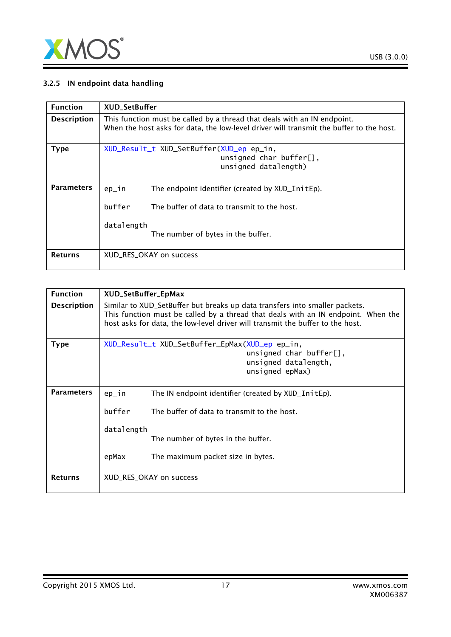

#### 3.2.5 IN endpoint data handling

| <b>Function</b>    | <b>XUD SetBuffer</b>                                                                                                                                                |
|--------------------|---------------------------------------------------------------------------------------------------------------------------------------------------------------------|
| <b>Description</b> | This function must be called by a thread that deals with an IN endpoint.<br>When the host asks for data, the low-level driver will transmit the buffer to the host. |
| <b>Type</b>        | XUD_Result_t XUD_SetBuffer(XUD_ep ep_in,<br>unsigned char buffer[],<br>unsigned datalength)                                                                         |
| <b>Parameters</b>  | The endpoint identifier (created by XUD_InitEp).<br>$ep_1n$<br>buffer<br>The buffer of data to transmit to the host.<br>datalength                                  |
| <b>Returns</b>     | The number of bytes in the buffer.<br>XUD RES OKAY on success                                                                                                       |

| <b>Function</b>    | XUD_SetBuffer_EpMax     |                                                                                                                                                                                                                                                    |
|--------------------|-------------------------|----------------------------------------------------------------------------------------------------------------------------------------------------------------------------------------------------------------------------------------------------|
| <b>Description</b> |                         | Similar to XUD_SetBuffer but breaks up data transfers into smaller packets.<br>This function must be called by a thread that deals with an IN endpoint. When the<br>host asks for data, the low-level driver will transmit the buffer to the host. |
| <b>Type</b>        |                         | XUD_Result_t XUD_SetBuffer_EpMax(XUD_ep ep_in,<br>unsigned char buffer[],<br>unsigned datalength,<br>unsigned epMax)                                                                                                                               |
| <b>Parameters</b>  | ep_in                   | The IN endpoint identifier (created by XUD_InitEp).                                                                                                                                                                                                |
|                    | buffer                  | The buffer of data to transmit to the host.                                                                                                                                                                                                        |
|                    | datalength              | The number of bytes in the buffer.                                                                                                                                                                                                                 |
|                    | epMax                   | The maximum packet size in bytes.                                                                                                                                                                                                                  |
| <b>Returns</b>     | XUD_RES_OKAY on success |                                                                                                                                                                                                                                                    |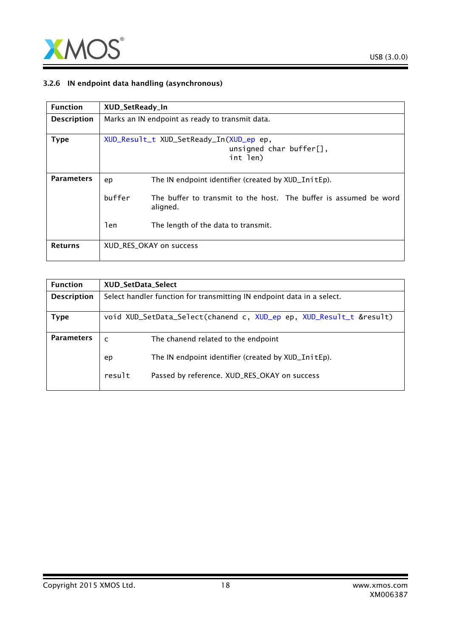

#### 3.2.6 IN endpoint data handling (asynchronous)

| <b>Function</b>    | XUD_SetReady_In                                 |                                                                                    |
|--------------------|-------------------------------------------------|------------------------------------------------------------------------------------|
| <b>Description</b> | Marks an IN endpoint as ready to transmit data. |                                                                                    |
| <b>Type</b>        |                                                 | XUD_Result_t XUD_SetReady_In(XUD_ep ep,<br>unsigned char buffer $[]$ ,<br>int len) |
| <b>Parameters</b>  | ep                                              | The IN endpoint identifier (created by XUD_InitEp).                                |
|                    | buffer                                          | The buffer to transmit to the host. The buffer is assumed be word<br>aligned.      |
|                    | len                                             | The length of the data to transmit.                                                |
| <b>Returns</b>     |                                                 | XUD RES OKAY on success                                                            |

| <b>Function</b>    | <b>XUD SetData Select</b>                                              |  |
|--------------------|------------------------------------------------------------------------|--|
| <b>Description</b> | Select handler function for transmitting IN endpoint data in a select. |  |
|                    |                                                                        |  |
| Type               | void XUD_SetData_Select(chanend c, XUD_ep ep, XUD_Result_t &result)    |  |
|                    |                                                                        |  |
| <b>Parameters</b>  | The chanend related to the endpoint<br>$\mathsf{C}$                    |  |
|                    | The IN endpoint identifier (created by XUD_InitEp).<br>ep              |  |
|                    | result<br>Passed by reference. XUD_RES_OKAY on success                 |  |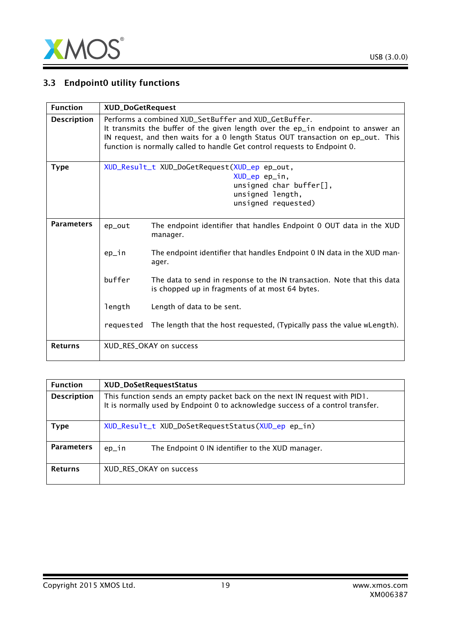

# 3.3 Endpoint0 utility functions

| <b>Function</b>    |           | <b>XUD_DoGetRequest</b>                                                                                                                                                                                                                                                                                   |  |
|--------------------|-----------|-----------------------------------------------------------------------------------------------------------------------------------------------------------------------------------------------------------------------------------------------------------------------------------------------------------|--|
| <b>Description</b> |           | Performs a combined XUD_SetBuffer and XUD_GetBuffer.<br>It transmits the buffer of the given length over the ep_in endpoint to answer an<br>IN request, and then waits for a 0 length Status OUT transaction on ep_out. This<br>function is normally called to handle Get control requests to Endpoint 0. |  |
| <b>Type</b>        |           | XUD_Result_t XUD_DoGetRequest(XUD_ep ep_out,<br>XUD_ep ep_in,<br>unsigned char buffer $[]$ ,<br>unsigned length,<br>unsigned requested)                                                                                                                                                                   |  |
| <b>Parameters</b>  | ep_out    | The endpoint identifier that handles Endpoint 0 OUT data in the XUD<br>manager.                                                                                                                                                                                                                           |  |
|                    | ep_in     | The endpoint identifier that handles Endpoint 0 IN data in the XUD man-<br>ager.                                                                                                                                                                                                                          |  |
|                    | buffer    | The data to send in response to the IN transaction. Note that this data<br>is chopped up in fragments of at most 64 bytes.                                                                                                                                                                                |  |
|                    | length    | Length of data to be sent.                                                                                                                                                                                                                                                                                |  |
|                    | requested | The length that the host requested, (Typically pass the value wLength).                                                                                                                                                                                                                                   |  |
| <b>Returns</b>     |           | XUD_RES_OKAY on success                                                                                                                                                                                                                                                                                   |  |

| <b>Function</b>    | XUD_DoSetRequestStatus                                                                                                                                        |
|--------------------|---------------------------------------------------------------------------------------------------------------------------------------------------------------|
| <b>Description</b> | This function sends an empty packet back on the next IN request with PID1.<br>It is normally used by Endpoint 0 to acknowledge success of a control transfer. |
| Type               | XUD_Result_t XUD_DoSetRequestStatus(XUD_ep ep_in)                                                                                                             |
| <b>Parameters</b>  | The Endpoint 0 IN identifier to the XUD manager.<br>ep_in                                                                                                     |
| <b>Returns</b>     | XUD_RES_OKAY on success                                                                                                                                       |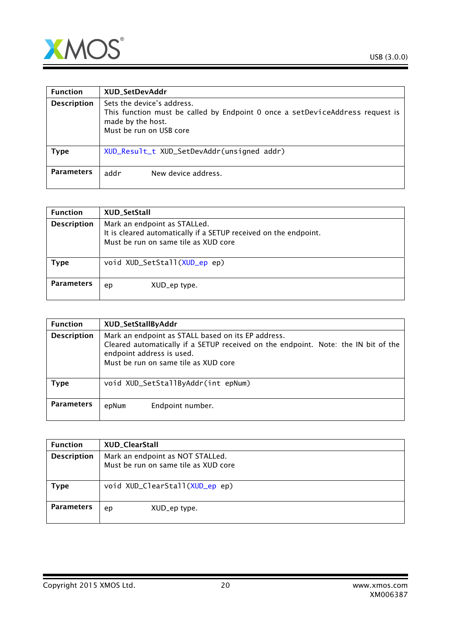

| <b>Function</b>    | XUD_SetDevAddr                                                                                                                                              |
|--------------------|-------------------------------------------------------------------------------------------------------------------------------------------------------------|
| <b>Description</b> | Sets the device's address.<br>This function must be called by Endpoint 0 once a setDeviceAddress request is<br>made by the host.<br>Must be run on USB core |
| <b>Type</b>        | XUD_Result_t XUD_SetDevAddr(unsigned addr)                                                                                                                  |
| <b>Parameters</b>  | addr<br>New device address.                                                                                                                                 |

| <b>Function</b>    | XUD_SetStall                                                                                                                             |
|--------------------|------------------------------------------------------------------------------------------------------------------------------------------|
| <b>Description</b> | Mark an endpoint as STALLed.<br>It is cleared automatically if a SETUP received on the endpoint.<br>Must be run on same tile as XUD core |
| Type               | void XUD_SetStall(XUD_ep ep)                                                                                                             |
| <b>Parameters</b>  | XUD_ep type.<br>ep                                                                                                                       |

| <b>Function</b>    | XUD_SetStallByAddr                                                                                                                                                                                            |
|--------------------|---------------------------------------------------------------------------------------------------------------------------------------------------------------------------------------------------------------|
| <b>Description</b> | Mark an endpoint as STALL based on its EP address.<br>Cleared automatically if a SETUP received on the endpoint. Note: the IN bit of the<br>endpoint address is used.<br>Must be run on same tile as XUD core |
| <b>Type</b>        | void XUD_SetStallByAddr(int epNum)                                                                                                                                                                            |
| <b>Parameters</b>  | Endpoint number.<br>epNum                                                                                                                                                                                     |

| <b>Function</b>    | XUD_ClearStall                                                           |
|--------------------|--------------------------------------------------------------------------|
| <b>Description</b> | Mark an endpoint as NOT STALLed.<br>Must be run on same tile as XUD core |
| <b>Type</b>        | void XUD_ClearStall(XUD_ep ep)                                           |
| <b>Parameters</b>  | XUD_ep type.<br>ep                                                       |

Copyright 2015 XMOS Ltd. 20 www.xmos.com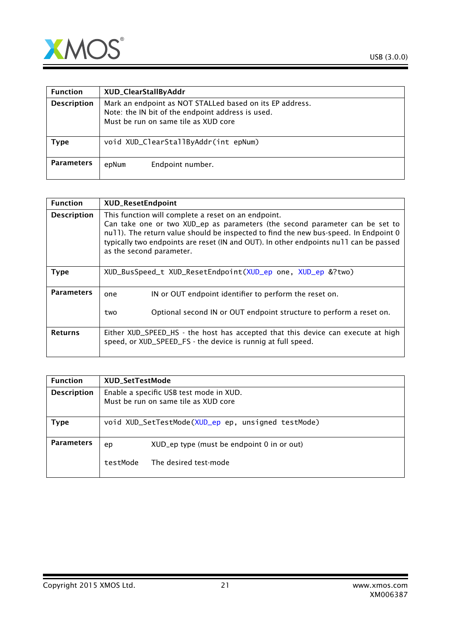

| <b>Function</b>    | XUD_ClearStallByAddr                                                                                                                                  |
|--------------------|-------------------------------------------------------------------------------------------------------------------------------------------------------|
| <b>Description</b> | Mark an endpoint as NOT STALLed based on its EP address.<br>Note: the IN bit of the endpoint address is used.<br>Must be run on same tile as XUD core |
| Type               | void XUD_ClearStallByAddr(int epNum)                                                                                                                  |
| <b>Parameters</b>  | Endpoint number.<br>epNum                                                                                                                             |

| <b>Function</b>    | <b>XUD_ResetEndpoint</b>                                                                                                                                                                                                                                                                                                                         |
|--------------------|--------------------------------------------------------------------------------------------------------------------------------------------------------------------------------------------------------------------------------------------------------------------------------------------------------------------------------------------------|
| <b>Description</b> | This function will complete a reset on an endpoint.<br>Can take one or two XUD_ep as parameters (the second parameter can be set to<br>null). The return value should be inspected to find the new bus-speed. In Endpoint 0<br>typically two endpoints are reset (IN and OUT). In other endpoints null can be passed<br>as the second parameter. |
| <b>Type</b>        | XUD_BusSpeed_t XUD_ResetEndpoint(XUD_ep one, XUD_ep &?two)                                                                                                                                                                                                                                                                                       |
| <b>Parameters</b>  | IN or OUT endpoint identifier to perform the reset on.<br>one<br>Optional second IN or OUT endpoint structure to perform a reset on.<br>two                                                                                                                                                                                                      |
| <b>Returns</b>     | Either XUD_SPEED_HS - the host has accepted that this device can execute at high<br>speed, or XUD_SPEED_FS - the device is runnig at full speed.                                                                                                                                                                                                 |

| <b>Function</b>    | XUD_SetTestMode                                                                 |                                            |  |
|--------------------|---------------------------------------------------------------------------------|--------------------------------------------|--|
| <b>Description</b> | Enable a specific USB test mode in XUD.<br>Must be run on same tile as XUD core |                                            |  |
| Type               | void XUD_SetTestMode(XUD_ep ep, unsigned testMode)                              |                                            |  |
| <b>Parameters</b>  | ep                                                                              | XUD_ep type (must be endpoint 0 in or out) |  |
|                    | testMode                                                                        | The desired test-mode                      |  |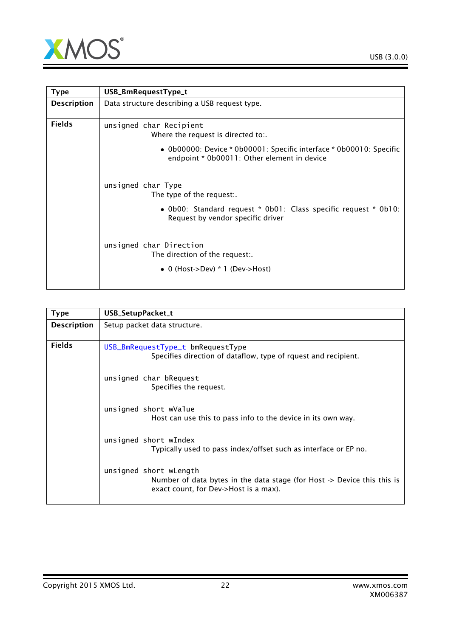

<span id="page-21-0"></span>

| <b>Type</b>        | USB_BmRequestType_t                                                                                                         |  |
|--------------------|-----------------------------------------------------------------------------------------------------------------------------|--|
| <b>Description</b> | Data structure describing a USB request type.                                                                               |  |
| <b>Fields</b>      | unsigned char Recipient<br>Where the request is directed to:.                                                               |  |
|                    | • $0b00000$ : Device * $0b00001$ : Specific interface * $0b00010$ : Specific<br>endpoint * 0b00011: Other element in device |  |
|                    | unsigned char Type<br>The type of the request:.                                                                             |  |
|                    | • Ob00: Standard request * Ob01: Class specific request * Ob10:<br>Request by vendor specific driver                        |  |
|                    | unsigned char Direction<br>The direction of the request:.                                                                   |  |
|                    | • 0 (Host->Dev) $*$ 1 (Dev->Host)                                                                                           |  |

<span id="page-21-1"></span>

| <b>Type</b>        | USB_SetupPacket_t                                                                                                                          |
|--------------------|--------------------------------------------------------------------------------------------------------------------------------------------|
| <b>Description</b> | Setup packet data structure.                                                                                                               |
| <b>Fields</b>      | USB_BmRequestType_t bmRequestType<br>Specifies direction of dataflow, type of rquest and recipient.                                        |
|                    | unsigned char bRequest<br>Specifies the request.                                                                                           |
|                    | unsigned short wValue<br>Host can use this to pass info to the device in its own way.                                                      |
|                    | unsigned short wIndex<br>Typically used to pass index/offset such as interface or EP no.                                                   |
|                    | unsigned short wLength<br>Number of data bytes in the data stage (for Host -> Device this this is<br>exact count, for Dev->Host is a max). |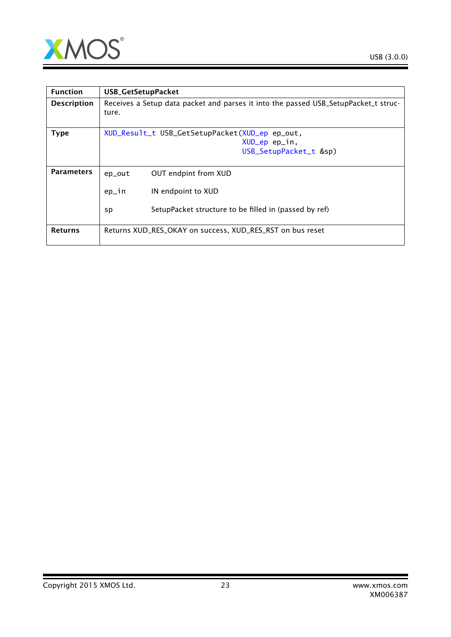

| <b>Function</b>    | <b>USB_GetSetupPacket</b>                                                                    |  |
|--------------------|----------------------------------------------------------------------------------------------|--|
| <b>Description</b> | Receives a Setup data packet and parses it into the passed USB_SetupPacket_t struc-<br>ture. |  |
| <b>Type</b>        | XUD_Result_t USB_GetSetupPacket(XUD_ep ep_out,                                               |  |
|                    | XUD_ep ep_in,                                                                                |  |
|                    | USB_SetupPacket_t &sp)                                                                       |  |
|                    |                                                                                              |  |
| <b>Parameters</b>  | OUT endpint from XUD<br>ep_out                                                               |  |
|                    | ep_in<br>IN endpoint to XUD                                                                  |  |
|                    | SetupPacket structure to be filled in (passed by ref)<br>sp                                  |  |
| <b>Returns</b>     | Returns XUD_RES_OKAY on success, XUD_RES_RST on bus reset                                    |  |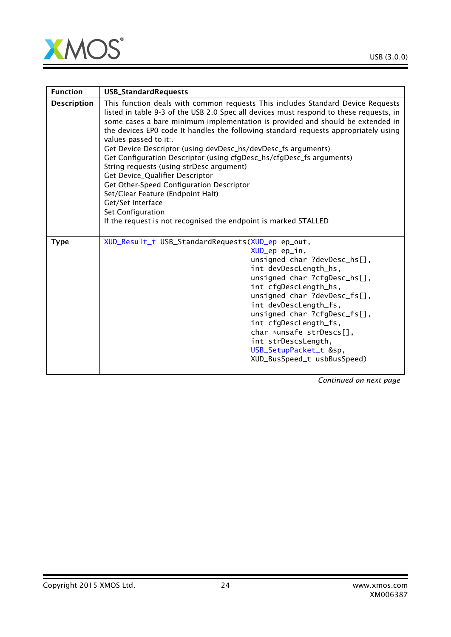

| <b>Function</b>    | <b>USB_StandardRequests</b>                                                                                                                                                                                                                                                                                                                                                                                                                                                                                                                                                                                                                                                                                                                                                                       |
|--------------------|---------------------------------------------------------------------------------------------------------------------------------------------------------------------------------------------------------------------------------------------------------------------------------------------------------------------------------------------------------------------------------------------------------------------------------------------------------------------------------------------------------------------------------------------------------------------------------------------------------------------------------------------------------------------------------------------------------------------------------------------------------------------------------------------------|
| <b>Description</b> | This function deals with common requests This includes Standard Device Requests<br>listed in table 9-3 of the USB 2.0 Spec all devices must respond to these requests, in<br>some cases a bare minimum implementation is provided and should be extended in<br>the devices EPO code It handles the following standard requests appropriately using<br>values passed to it:.<br>Get Device Descriptor (using devDesc_hs/devDesc_fs arguments)<br>Get Configuration Descriptor (using cfgDesc_hs/cfgDesc_fs arguments)<br>String requests (using strDesc argument)<br>Get Device_Qualifier Descriptor<br>Get Other-Speed Configuration Descriptor<br>Set/Clear Feature (Endpoint Halt)<br>Get/Set Interface<br>Set Configuration<br>If the request is not recognised the endpoint is marked STALLED |
| <b>Type</b>        | XUD_Result_t USB_StandardRequests(XUD_ep ep_out,<br>XUD_ep ep_in,<br>unsigned char ?devDesc_hs[],<br>int devDescLength_hs,<br>unsigned char ?cfgDesc_hs[],<br>int cfgDescLength_hs,<br>unsigned char ?devDesc_fs[],<br>int devDescLength_fs,<br>unsigned char ?cfgDesc_fs[],<br>int cfgDescLength_fs,<br>char *unsafe strDescs[],<br>int strDescsLength,<br>USB_SetupPacket_t &sp,<br>XUD_BusSpeed_t usbBusSpeed)                                                                                                                                                                                                                                                                                                                                                                                 |

*Continued on next page*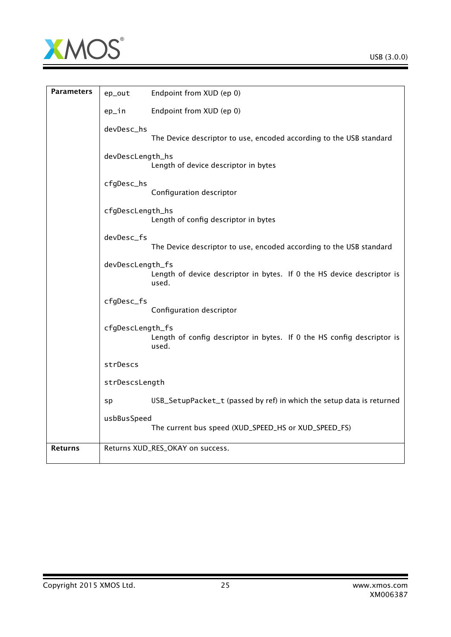

| <b>Parameters</b> | ep_out           | Endpoint from XUD (ep 0)                                                        |
|-------------------|------------------|---------------------------------------------------------------------------------|
|                   | ep_in            | Endpoint from XUD (ep 0)                                                        |
|                   | devDesc_hs       | The Device descriptor to use, encoded according to the USB standard             |
|                   | devDescLength_hs | Length of device descriptor in bytes                                            |
|                   | cfgDesc_hs       | Configuration descriptor                                                        |
|                   | cfgDescLength_hs | Length of config descriptor in bytes                                            |
|                   | devDesc_fs       | The Device descriptor to use, encoded according to the USB standard             |
|                   | devDescLength_fs | Length of device descriptor in bytes. If 0 the HS device descriptor is<br>used. |
|                   | cfgDesc_fs       | Configuration descriptor                                                        |
|                   | cfgDescLength_fs | Length of config descriptor in bytes. If 0 the HS config descriptor is<br>used. |
|                   | strDescs         |                                                                                 |
|                   | strDescsLength   |                                                                                 |
|                   | sp               | USB_SetupPacket_t (passed by ref) in which the setup data is returned           |
|                   | usbBusSpeed      | The current bus speed (XUD_SPEED_HS or XUD_SPEED_FS)                            |
| <b>Returns</b>    |                  | Returns XUD_RES_OKAY on success.                                                |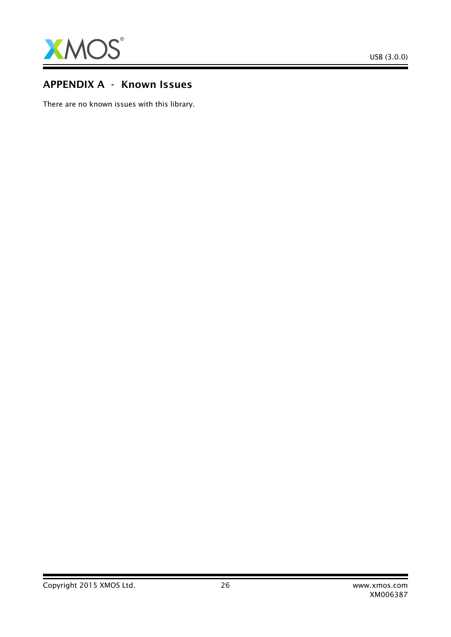

# APPENDIX A - Known Issues

There are no known issues with this library.